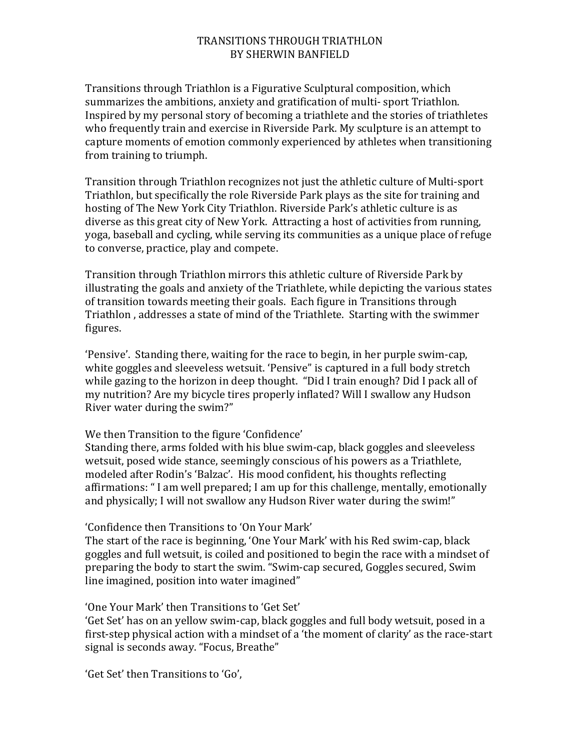## TRANSITIONS THROUGH TRIATHLON BY SHERWIN BANFIELD

Transitions through Triathlon is a Figurative Sculptural composition, which summarizes the ambitions, anxiety and gratification of multi- sport Triathlon. Inspired by my personal story of becoming a triathlete and the stories of triathletes who frequently train and exercise in Riverside Park. My sculpture is an attempt to capture moments of emotion commonly experienced by athletes when transitioning from training to triumph.

Transition through Triathlon recognizes not just the athletic culture of Multi-sport Triathlon, but specifically the role Riverside Park plays as the site for training and hosting of The New York City Triathlon. Riverside Park's athletic culture is as diverse as this great city of New York. Attracting a host of activities from running, yoga, baseball and cycling, while serving its communities as a unique place of refuge to converse, practice, play and compete.

Transition through Triathlon mirrors this athletic culture of Riverside Park by illustrating the goals and anxiety of the Triathlete, while depicting the various states of transition towards meeting their goals. Each figure in Transitions through Triathlon, addresses a state of mind of the Triathlete. Starting with the swimmer figures.

'Pensive'. Standing there, waiting for the race to begin, in her purple swim-cap, white goggles and sleeveless wetsuit. 'Pensive" is captured in a full body stretch while gazing to the horizon in deep thought. "Did I train enough? Did I pack all of my nutrition? Are my bicycle tires properly inflated? Will I swallow any Hudson River water during the swim?"

We then Transition to the figure 'Confidence'

Standing there, arms folded with his blue swim-cap, black goggles and sleeveless wetsuit, posed wide stance, seemingly conscious of his powers as a Triathlete, modeled after Rodin's 'Balzac'. His mood confident, his thoughts reflecting affirmations: " I am well prepared; I am up for this challenge, mentally, emotionally and physically; I will not swallow any Hudson River water during the swim!"

'Confidence then Transitions to 'On Your Mark'

The start of the race is beginning, 'One Your Mark' with his Red swim-cap, black goggles and full wetsuit, is coiled and positioned to begin the race with a mindset of preparing the body to start the swim. "Swim-cap secured, Goggles secured, Swim line imagined, position into water imagined"

'One Your Mark' then Transitions to 'Get Set'

'Get Set' has on an yellow swim-cap, black goggles and full body wetsuit, posed in a first-step physical action with a mindset of a 'the moment of clarity' as the race-start signal is seconds away. "Focus, Breathe"

'Get Set' then Transitions to 'Go',